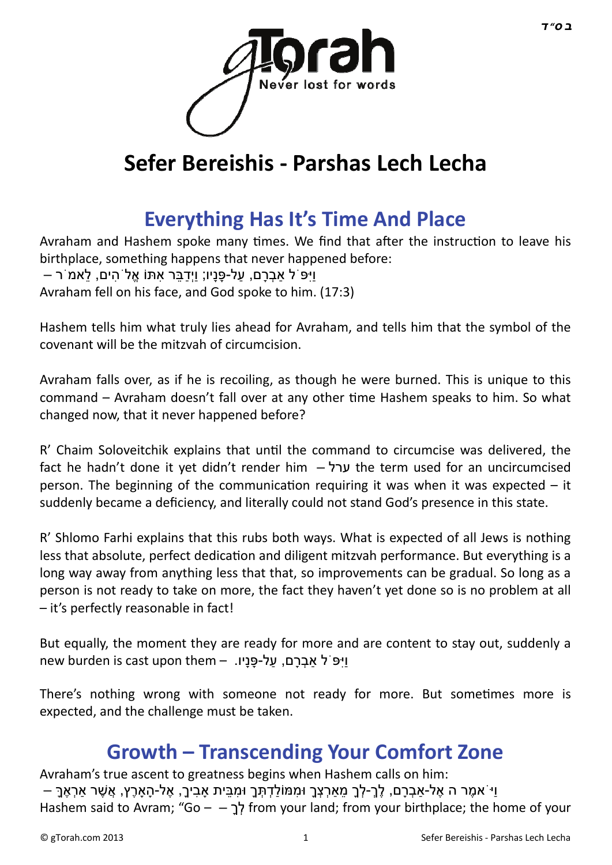

# **Sefer Bereishis - Parshas Lech Lecha**

### **[Everything Has It's Time And Place](http://gtorah.com/2012/11/04/everything-has-its-time-and-place/)**

Avraham and Hashem spoke many times. We find that after the instruction to leave his birthplace, something happens that never happened before: וַיִּפ<sup>ְי</sup> ל אַבְרִם, עַל-פָּנִיו; וַיִּדְבֵּר אַתָּוֹ אַלֹּהִים, לֹאמֹר – Avraham fell on his face, and God spoke to him. (17:3)

Hashem tells him what truly lies ahead for Avraham, and tells him that the symbol of the covenant will be the mitzvah of circumcision.

Avraham falls over, as if he is recoiling, as though he were burned. This is unique to this command – Avraham doesn't fall over at any other time Hashem speaks to him. So what changed now, that it never happened before?

R' Chaim Soloveitchik explains that until the command to circumcise was delivered, the fact he hadn't done it vet didn't render him – ערל the term used for an uncircumcised person. The beginning of the communication requiring it was when it was expected  $-$  it suddenly became a deficiency, and literally could not stand God's presence in this state.

R' Shlomo Farhi explains that this rubs both ways. What is expected of all Jews is nothing less that absolute, perfect dedication and diligent mitzvah performance. But everything is a long way away from anything less that that, so improvements can be gradual. So long as a person is not ready to take on more, the fact they haven't yet done so is no problem at all – it's perfectly reasonable in fact!

But equally, the moment they are ready for more and are content to stay out, suddenly a new burden is cast upon them – ויפּ ל אַבְרַם, על-פֵּנֵיו.

There's nothing wrong with someone not ready for more. But sometimes more is expected, and the challenge must be taken.

#### **[Growth – Transcending Your Comfort Zone](http://gtorah.com/2012/10/24/responsibility-independence-and-growth-beyond-your-comfort-zone/)**

Avraham's true ascent to greatness begins when Hashem calls on him: ּ וַיֹּ אמֶר ה אֶל-אַבְרָם, לֶךְ-לְךָ מֵאַרְצְךָ וּמִמּוֹלַדְתְּךָ וּמִבֵּית אַבִיךָ, אֶל-הָאַרֶץ, אֲשֶׁר אַרְאֶךָ Hashem said to Avram; "Go – – לְּבָּל from your land; from your birthplace; the home of your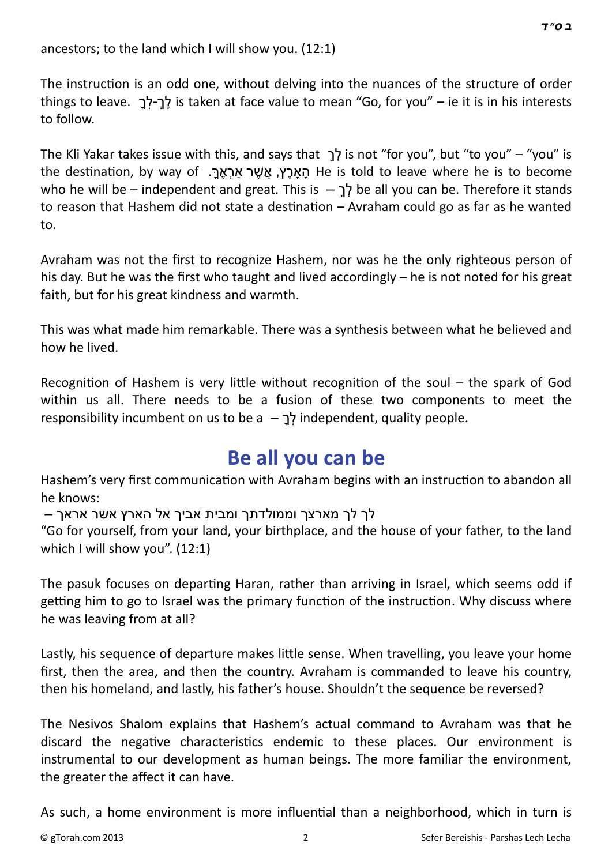The instruction is an odd one, without delving into the nuances of the structure of order things to leave. לְךָ-לְךְ is taken at face value to mean "Go, for you" – ie it is in his interests to follow.

The Kli Yakar takes issue with this, and says that ךְָל is not "for you", but "to you" – "you" is the destination, by way of .הַאֲרֵץ, אֲשֶׁר אַרִאֲרָה He is told to leave where he is to become who he will be – independent and great. This is  $-$  לְךָ $\epsilon$  all you can be. Therefore it stands to reason that Hashem did not state a destination – Avraham could go as far as he wanted to.

Avraham was not the first to recognize Hashem, nor was he the only righteous person of his day. But he was the first who taught and lived accordingly – he is not noted for his great faith, but for his great kindness and warmth.

This was what made him remarkable. There was a synthesis between what he believed and how he lived.

Recognition of Hashem is very little without recognition of the soul  $-$  the spark of God within us all. There needs to be a fusion of these two components to meet the responsibility incumbent on us to be a  $-$  ךְ $-$  independent, quality people.

#### **[Be all you can be](http://gtorah.com/2011/11/03/1767/)**

Hashem's very first communication with Avraham begins with an instruction to abandon all he knows:

לך לך מארצך וממולדתך ומבית אביך אל הארץ אשר אראך –

"Go for yourself, from your land, your birthplace, and the house of your father, to the land which I will show you". (12:1)

The pasuk focuses on departing Haran, rather than arriving in Israel, which seems odd if getting him to go to Israel was the primary function of the instruction. Why discuss where he was leaving from at all?

Lastly, his sequence of departure makes little sense. When travelling, you leave your home first, then the area, and then the country. Avraham is commanded to leave his country, then his homeland, and lastly, his father's house. Shouldn't the sequence be reversed?

The Nesivos Shalom explains that Hashem's actual command to Avraham was that he discard the negative characteristics endemic to these places. Our environment is instrumental to our development as human beings. The more familiar the environment, the greater the affect it can have.

As such, a home environment is more influential than a neighborhood, which in turn is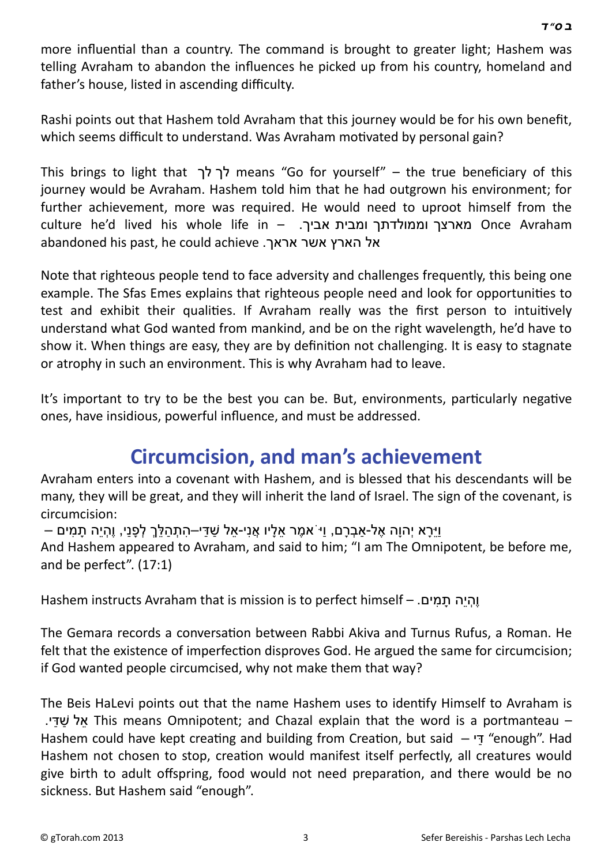more influential than a country. The command is brought to greater light; Hashem was telling Avraham to abandon the influences he picked up from his country, homeland and father's house, listed in ascending difficulty.

Rashi points out that Hashem told Avraham that this journey would be for his own benefit, which seems difficult to understand. Was Avraham motivated by personal gain?

This brings to light that לך לך means "Go for yourself" – the true beneficiary of this journey would be Avraham. Hashem told him that he had outgrown his environment; for further achievement, more was required. He would need to uproot himself from the culture he'd lived his whole life in – .אביך ומבית וממולדתך מארצך Once Avraham abandoned his past, he could achieve .אראך אשר הארץ אל

Note that righteous people tend to face adversity and challenges frequently, this being one example. The Sfas Emes explains that righteous people need and look for opportunities to test and exhibit their qualities. If Avraham really was the first person to intuitively understand what God wanted from mankind, and be on the right wavelength, he'd have to show it. When things are easy, they are by definition not challenging. It is easy to stagnate or atrophy in such an environment. This is why Avraham had to leave.

It's important to try to be the best you can be. But, environments, particularly negative ones, have insidious, powerful influence, and must be addressed.

#### **[Circumcision, and man's achievement](http://gtorah.com/2011/11/01/what-is-mans-mission-in-life/)**

Avraham enters into a covenant with Hashem, and is blessed that his descendants will be many, they will be great, and they will inherit the land of Israel. The sign of the covenant, is circumcision:

וּירַא יְהוַה אֶל-אַבְרָם, וּיֹאמֶר אַלַיו אֲנִי-אַל שַׁדִּי–התָהַלְּךָ לְפָנִי, וֶהִיה תַמִּים –

And Hashem appeared to Avraham, and said to him; "I am The Omnipotent, be before me, and be perfect". (17:1)

Hashem instructs Avraham that is mission is to perfect himself – .וַהְיה תַמים

The Gemara records a conversation between Rabbi Akiva and Turnus Rufus, a Roman. He felt that the existence of imperfection disproves God. He argued the same for circumcision; if God wanted people circumcised, why not make them that way?

The Beis HaLevi points out that the name Hashem uses to identify Himself to Avraham is .י ַדּ ַשׁ ל ֵא This means Omnipotent; and Chazal explain that the word is a portmanteau – Hashem could have kept creating and building from Creation, but said  $-$  "ד" "enough". Had Hashem not chosen to stop, creation would manifest itself perfectly, all creatures would give birth to adult offspring, food would not need preparation, and there would be no sickness. But Hashem said "enough".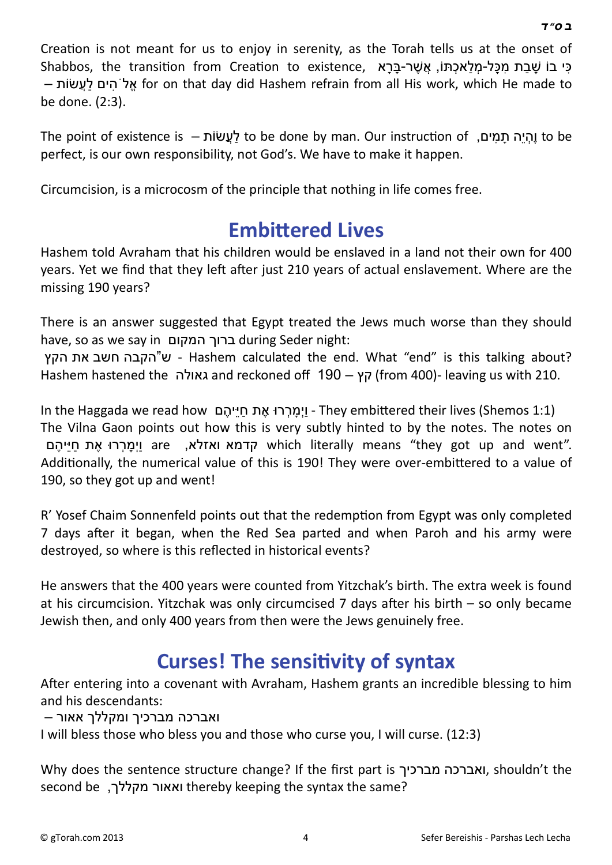Creation is not meant for us to enjoy in serenity, as the Torah tells us at the onset of כִּי בוֹ שַׁבַת מַכָּל-מַלאָכַתּוֹ, אֲשִׁר-בַּרָא ,Shabbos, the transition from Creation to existence – שׂוֹת ֲעַל ים ִהֹל ֱא for on that day did Hashem refrain from all His work, which He made to be done. (2:3).

The point of existence is – שׂוֹתֲעַל to be done by man. Our instrucƟon of ,ים ִמ ָת הֵי ְהֶו to be perfect, is our own responsibility, not God's. We have to make it happen.

Circumcision, is a microcosm of the principle that nothing in life comes free.

#### **Embitt[ered Lives](http://gtorah.com/2010/03/22/and-they-embittered-their-lives/)**

Hashem told Avraham that his children would be enslaved in a land not their own for 400 years. Yet we find that they left after just 210 years of actual enslavement. Where are the missing 190 years?

There is an answer suggested that Egypt treated the Jews much worse than they should have, so as we say in המקום ברוך during Seder night:

הקץ את חשב הקבה"ש - Hashem calculated the end. What "end" is this talking about? Hashem hastened the גאולה and reckoned off 190 – קץ) from 400)- leaving us with 210.

In the Haggada we read how וַימררוּ אֶת חייהֶם - They embittered their lives (Shemos 1:1) The Vilna Gaon points out how this is very subtly hinted to by the notes. The notes on are strich literally means "they got up and went". Additionally, the numerical value of this is 190! They were over-embittered to a value of 190, so they got up and went!

R' Yosef Chaim Sonnenfeld points out that the redemption from Egypt was only completed 7 days after it began, when the Red Sea parted and when Paroh and his army were destroyed, so where is this reflected in historical events?

He answers that the 400 years were counted from Yitzchak's birth. The extra week is found at his circumcision. Yitzchak was only circumcised 7 days after his birth  $-$  so only became Jewish then, and only 400 years from then were the Jews genuinely free.

## **[Curses! The sensi](http://gtorah.com/2009/10/29/%d7%9c%d7%9a-%d7%9c%d7%9a-and-the-sensitivity-of-syntax/)tivity of syntax**

After entering into a covenant with Avraham, Hashem grants an incredible blessing to him and his descendants:

ואברכה מברכיך ומקללך אאור –

I will bless those who bless you and those who curse you, I will curse. (12:3)

Why does the sentence structure change? If the first part is מברכיך ואברכה, shouldn't the second be ,מקללך ואאור thereby keeping the syntax the same?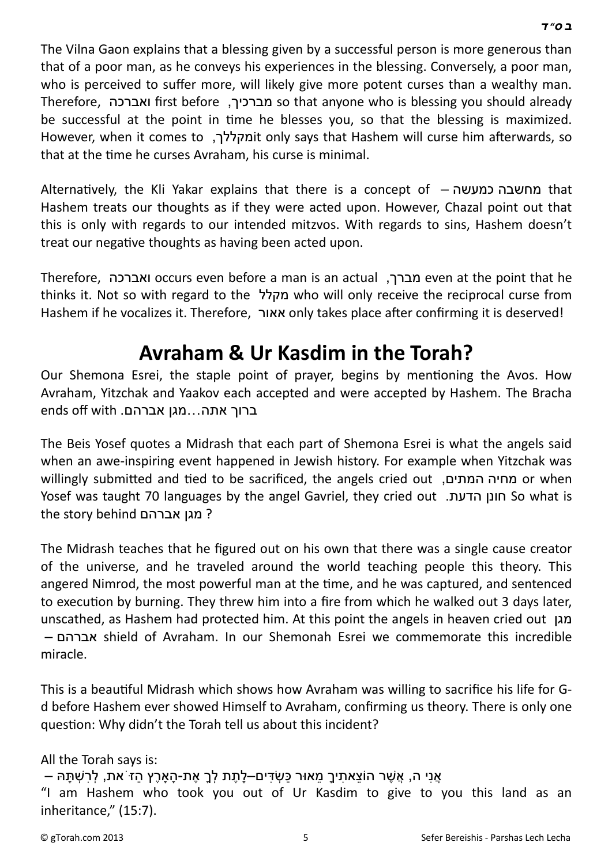The Vilna Gaon explains that a blessing given by a successful person is more generous than that of a poor man, as he conveys his experiences in the blessing. Conversely, a poor man, who is perceived to suffer more, will likely give more potent curses than a wealthy man. Therefore, ואברכה first before ,מברכיך so that anyone who is blessing you should already be successful at the point in time he blesses you, so that the blessing is maximized. However, when it comes to ,ומקללך, However, when it comes to הוֹמהללך that at the time he curses Avraham, his curse is minimal.

AlternaƟvely, the Kli Yakar explains that there is a concept of – כמעשה מחשבה that Hashem treats our thoughts as if they were acted upon. However, Chazal point out that this is only with regards to our intended mitzvos. With regards to sins, Hashem doesn't treat our negative thoughts as having been acted upon.

Therefore, ואברכה occurs even before a man is an actual ,מברך even at the point that he thinks it. Not so with regard to the מקלל who will only receive the reciprocal curse from Hashem if he vocalizes it. Therefore, אאור only takes place after confirming it is deserved!

### **[Avraham & Ur Kasdim in the Torah?](http://gtorah.com/2000/10/17/even-the-righteous-make-mistakes/)**

Our Shemona Esrei, the staple point of prayer, begins by mentioning the Avos. How Avraham, Yitzchak and Yaakov each accepted and were accepted by Hashem. The Bracha  $ends$  off with ברוך אתה $\ldots$ מגן אברהם.

The Beis Yosef quotes a Midrash that each part of Shemona Esrei is what the angels said when an awe-inspiring event happened in Jewish history. For example when Yitzchak was willingly submitted and tied to be sacrificed, the angels cried out ,מחיה המתים Yosef was taught 70 languages by the angel Gavriel, they cried out .הדעת חונן So what is the story behind אברהם מגן ?

The Midrash teaches that he figured out on his own that there was a single cause creator of the universe, and he traveled around the world teaching people this theory. This angered Nimrod, the most powerful man at the time, and he was captured, and sentenced to execution by burning. They threw him into a fire from which he walked out 3 days later, unscathed, as Hashem had protected him. At this point the angels in heaven cried out מגן – אברהם shield of Avraham. In our Shemonah Esrei we commemorate this incredible miracle.

This is a beauƟful Midrash which shows how Avraham was willing to sacrifice his life for Gd before Hashem ever showed Himself to Avraham, confirming us theory. There is only one question: Why didn't the Torah tell us about this incident?

All the Torah says is:

```
ּ אֲנִי ה, אֲשֶׁר הוֹצֵאתִיךָ מֵאוּר כַּשְׂדִּים–לַתֶת לְךָ אֶת-הַארֶץ הזֹּ את, לְרָשְׁתַּהּ –
```

```
"I am Hashem who took you out of Ur Kasdim to give to you this land as an 
inheritance," (15:7).
```
 *[ב](http://en.wikipedia.org/wiki/Bet_%28letter%29) [ס](http://en.wikipedia.org/wiki/Samekh)" [ד](http://en.wikipedia.org/wiki/Dalet)*